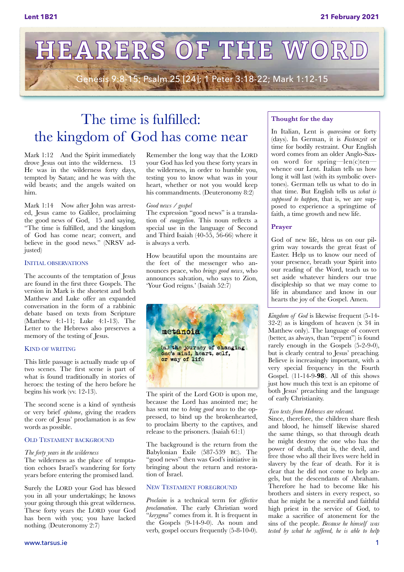

## The time is fulfilled: the kingdom of God has come near

Mark 1:12 And the Spirit immediately drove Jesus out into the wilderness. 13 He was in the wilderness forty days, tempted by Satan; and he was with the wild beasts; and the angels waited on him.

Mark 1:14 Now after John was arrested, Jesus came to Galilee, proclaiming the good news of God, 15 and saying, "The time is fulfilled, and the kingdom of God has come near; convert, and believe in the good news." (NRSV adjusted)

#### INITIAL OBSERVATIONS

The accounts of the temptation of Jesus are found in the first three Gospels. The version in Mark is the shortest and both Matthew and Luke offer an expanded conversation in the form of a rabbinic debate based on texts from Scripture (Matthew 4:1-11; Luke 4:1-13). The Letter to the Hebrews also preserves a memory of the testing of Jesus.

#### KIND OF WRITING

This little passage is actually made up of two scenes. The first scene is part of what is found traditionally in stories of heroes: the testing of the hero before he begins his work (vv. 12-13).

The second scene is a kind of synthesis or very brief *epitome*, giving the readers the core of Jesus' proclamation is as few words as possible.

#### OLD TESTAMENT BACKGROUND

#### *The forty years in the wilderness*

The wilderness as the place of temptation echoes Israel's wandering for forty years before entering the promised land.

Surely the LORD your God has blessed you in all your undertakings; he knows your going through this great wilderness. These forty years the LORD your God has been with you; you have lacked nothing. (Deuteronomy 2:7)

Remember the long way that the LORD your God has led you these forty years in the wilderness, in order to humble you, testing you to know what was in your heart, whether or not you would keep his commandments. (Deuteronomy 8:2)

#### *Good news / gospel*

The expression "good news" is a translation of *euaggelion*. This noun reflects a special use in the language of Second and Third Isaiah (40-55, 56-66) where it is always a verb.

How beautiful upon the mountains are the feet of the messenger who announces peace, who *brings good news*, who announces salvation, who says to Zion, 'Your God reigns.' (Isaiah 52:7)



The spirit of the Lord GOD is upon me, because the Lord has anointed me; he has sent me to *bring good news* to the oppressed, to bind up the brokenhearted, to proclaim liberty to the captives, and release to the prisoners. (Isaiah 61:1)

The background is the return from the Babylonian Exile (587-539 BC). The "good news" then was God's initiative in bringing about the return and restoration of Israel.

#### NEW TESTAMENT FOREGROUND

*Proclaim* is a technical term for *effective proclamation*. The early Christian word "*kerygma*" comes from it. It is frequent in the Gospels (9-14-9-0). As noun and verb, gospel occurs frequently (5-8-10-0).

#### **Thought for the day**

In Italian, Lent is *quaresima* or forty (days). In German, it is *Fastenzeit* or time for bodily restraint. Our English word comes from an older Anglo-Saxon word for spring—len(c)ten whence our Lent. Italian tells us how long it will last (with its symbolic overtones). German tells us what to do in that time. But English tells us *what is supposed to happen*, that is, we are supposed to experience a springtime of faith, a time growth and new life.

#### **Prayer**

God of new life, bless us on our pilgrim way towards the great feast of Easter. Help us to know our need of your presence, breath your Spirit into our reading of the Word, teach us to set aside whatever hinders our true discipleship so that we may come to life in abundance and know in our hearts the joy of the Gospel. Amen.

*Kingdom of God* is likewise frequent (5-14- 32-2) as is kingdom of heaven (x 34 in Matthew only). The language of convert (better, as always, than "repent") is found rarely enough in the Gospels (5-2-9-0), but is clearly central to Jesus' preaching. Believe is increasingly important, with a very special frequency in the Fourth Gospel. (11-14-9-**98**). All of this shows just how much this text is an epitome of both Jesus' preaching and the language of early Christianity.

#### *Two texts from Hebrews are relevant.*

Since, therefore, the children share flesh and blood, he himself likewise shared the same things, so that through death he might destroy the one who has the power of death, that is, the devil, and free those who all their lives were held in slavery by the fear of death. For it is clear that he did not come to help angels, but the descendants of Abraham. Therefore he had to become like his brothers and sisters in every respect, so that he might be a merciful and faithful high priest in the service of God, to make a sacrifice of atonement for the sins of the people. *Because he himself was tested by what he suffered, he is able to help*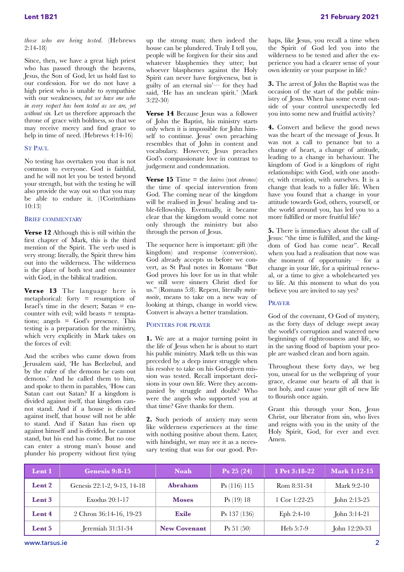*those who are being tested.* (Hebrews 2:14-18)

Since, then, we have a great high priest who has passed through the heavens, Jesus, the Son of God, let us hold fast to our confession. For we do not have a high priest who is unable to sympathise with our weaknesses, *but we have one who in every respect has been tested as we are, yet without sin.* Let us therefore approach the throne of grace with boldness, so that we may receive mercy and find grace to help in time of need. (Hebrews 4:14-16)

#### ST PAUL

No testing has overtaken you that is not common to everyone. God is faithful, and he will not let you be tested beyond your strength, but with the testing he will also provide the way out so that you may be able to endure it. (1Corinthians 10:13)

#### BRIEF COMMENTARY

**Verse 12** Although this is still within the first chapter of Mark, this is the third mention of the Spirit. The verb used is very strong: literally, the Spirit threw him out into the wilderness. The wilderness is the place of both test and encounter with God, in the biblical tradition.

**Verse 13** The language here is metaphorical: forty = resumption of Israel's time in the desert; Satan = encounter with evil; wild beasts  $=$  temptations; angels = God's presence. This testing is a preparation for the ministry, which very explicitly in Mark takes on the forces of evil:

And the scribes who came down from Jerusalem said, 'He has Beelzebul, and by the ruler of the demons he casts out demons.' And he called them to him, and spoke to them in parables, 'How can Satan cast out Satan? If a kingdom is divided against itself, that kingdom cannot stand. And if a house is divided against itself, that house will not be able to stand. And if Satan has risen up against himself and is divided, he cannot stand, but his end has come. But no one can enter a strong man's house and plunder his property without first tying

up the strong man; then indeed the house can be plundered. Truly I tell you, people will be forgiven for their sins and whatever blasphemies they utter; but whoever blasphemes against the Holy Spirit can never have forgiveness, but is guilty of an eternal sin'— for they had said, 'He has an unclean spirit.' (Mark 3:22-30)

**Verse 14** Because Jesus was a follower of John the Baptist, his ministry starts only when it is impossible for John himself to continue. Jesus' own preaching resembles that of John in content and vocabulary. However, Jesus preaches God's compassionate love in contrast to judgement and condemnation.

**Verse 15** Time = the *kairos* (not *chronos*) the time of special intervention from God. The coming near of the kingdom will be realised in Jesus' healing and table-fellowship. Eventually, it became clear that the kingdom would come not only through the ministry but also through the person of Jesus.

The sequence here is important: gift (the kingdom) and response (conversion). God already accepts us before we convert, as St Paul notes in Romans "But God proves his love for us in that while we still were sinners Christ died for us." (Romans 5:8). Repent, literally *metanoeite*, means to take on a new way of looking at things, change in world view. Convert is always a better translation.

#### POINTERS FOR PRAYER

**1.** We are at a major turning point in the life of Jesus when he is about to start his public ministry. Mark tells us this was preceded by a deep inner struggle when his resolve to take on his God-given mission was tested. Recall important decisions in your own life. Were they accompanied by struggle and doubt? Who were the angels who supported you at that time? Give thanks for them.

**2.** Such periods of anxiety may seem like wilderness experiences at the time with nothing positive about them. Later, with hindsight, we may see it as a necessary testing that was for our good. Perhaps, like Jesus, you recall a time when the Spirit of God led you into the wilderness to be tested and after the experience you had a clearer sense of your own identity or your purpose in life?

**3.** The arrest of John the Baptist was the occasion of the start of the public ministry of Jesus. When has some event outside of your control unexpectedly led you into some new and fruitful activity?

**4.** Convert and believe the good news was the heart of the message of Jesus. It was not a call to penance but to a change of heart, a change of attitude, leading to a change in behaviour. The kingdom of God is a kingdom of right relationships: with God, with one another, with creation, with ourselves. It is a change that leads to a fuller life. When have you found that a change in your attitude towards God, others, yourself, or the world around you, has led you to a more fulfilled or more fruitful life?

**5.** There is immediacy about the call of Jesus: "the time is fulfilled, and the kingdom of God has come near". Recall when you had a realisation that now was the moment of opportunity – for a change in your life, for a spiritual renewal, or a time to give a wholehearted yes to life. At this moment to what do you believe you are invited to say yes?

#### PRAYER

God of the covenant, O God of mystery, as the forty days of deluge swept away the world's corruption and watered new beginnings of righteousness and life, so in the saving flood of baptism your people are washed clean and born again.

Throughout these forty days, we beg you, unseal for us the wellspring of your grace, cleanse our hearts of all that is not holy, and cause your gift of new life to flourish once again.

Grant this through your Son, Jesus Christ, our liberator from sin, who lives and reigns with you in the unity of the Holy Spirit, God, for ever and ever. Amen.

| Lent 1 | Genesis 9:8-15              | <b>Noah</b>         | $\textbf{Ps} 25 (24)$    | 1 Pet 3:18-22 | <b>Mark 1:12-15</b> |
|--------|-----------------------------|---------------------|--------------------------|---------------|---------------------|
| Lent 2 | Genesis 22:1-2, 9-13, 14-18 | Ahraham             | P <sub>S</sub> (116) 115 | Rom 8:31-34   | Mark 9:2-10         |
| Lent 3 | Exodus 20:1-17              | <b>Moses</b>        | Ps(19)18                 | 1 Cor 1:22-25 | John 2:13-25        |
| Lent 4 | 2 Chron 36:14-16, 19-23     | <b>Exile</b>        | $\text{Ps}$ 137 (136)    | Eph $2:4-10$  | John 3:14-21        |
| Lent 5 | Jeremiah 31:31-34           | <b>New Covenant</b> | Ps 51 (50)               | Heb 5:7-9     | John 12:20-33       |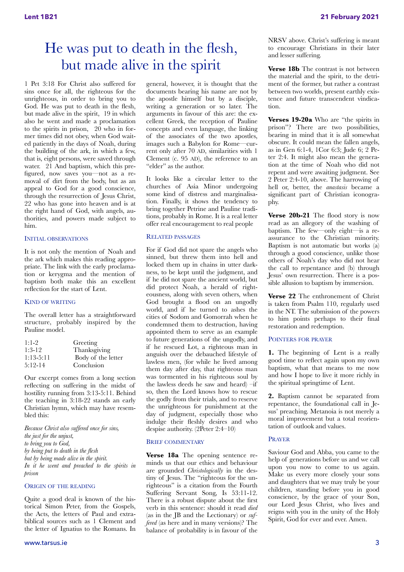## He was put to death in the flesh, but made alive in the spirit

1 Pet 3:18 For Christ also suffered for sins once for all, the righteous for the unrighteous, in order to bring you to God. He was put to death in the flesh, but made alive in the spirit, 19 in which also he went and made a proclamation to the spirits in prison,  $20$  who in former times did not obey, when God waited patiently in the days of Noah, during the building of the ark, in which a few, that is, eight persons, were saved through water. 21 And baptism, which this prefigured, now saves you—not as a removal of dirt from the body, but as an appeal to God for a good conscience, through the resurrection of Jesus Christ, 22 who has gone into heaven and is at the right hand of God, with angels, authorities, and powers made subject to him.

#### INITIAL OBSERVATIONS

It is not only the mention of Noah and the ark which makes this reading appropriate. The link with the early proclamation or kerygma and the mention of baptism both make this an excellent reflection for the start of Lent.

#### KIND OF WRITING

The overall letter has a straightforward structure, probably inspired by the Pauline model.

| $1:1-2$     | Greeting           |
|-------------|--------------------|
| $1:3-12$    | Thanksgiving       |
| $1:13-5:11$ | Body of the letter |
| 5:12-14     | Conclusion         |

Our excerpt comes from a long section reflecting on suffering in the midst of hostility running from 3:13-5:11. Behind the teaching in 3:18-22 stands an early Christian hymn, which may have resembled this:

*Because Christ also suffered once for sins, the just for the unjust, to bring you to God, by being put to death in the flesh but by being made alive in the spirit. In it he went and preached to the spirits in prison* 

#### ORIGIN OF THE READING

Quite a good deal is known of the historical Simon Peter, from the Gospels, the Acts, the letters of Paul and extrabiblical sources such as 1 Clement and the letter of Ignatius to the Romans. In

general, however, it is thought that the documents bearing his name are not by the apostle himself but by a disciple, writing a generation or so later. The arguments in favour of this are: the excellent Greek, the reception of Pauline concepts and even language, the linking of the associates of the two apostles, images such a Babylon for Rome—current only after 70 AD, similarities with 1 Clement (c. 95 AD), the reference to an "elder" as the author.

It looks like a circular letter to the churches of Asia Minor undergoing some kind of distress and marginalisation. Finally, it shows the tendency to bring together Petrine and Pauline traditions, probably in Rome. It is a real letter offer real encouragement to real people

#### RELATED PASSAGES

For if God did not spare the angels who sinned, but threw them into hell and locked them up in chains in utter darkness, to be kept until the judgment, and if he did not spare the ancient world, but did protect Noah, a herald of righteousness, along with seven others, when God brought a flood on an ungodly world, and if he turned to ashes the cities of Sodom and Gomorrah when he condemned them to destruction, having appointed them to serve as an example to future generations of the ungodly, and if he rescued Lot, a righteous man in anguish over the debauched lifestyle of lawless men, (for while he lived among them day after day, that righteous man was tormented in his righteous soul by the lawless deeds he saw and heard)  $-i\hat{f}$ so, then the Lord knows how to rescue the godly from their trials, and to reserve the unrighteous for punishment at the day of judgment, especially those who indulge their fleshly desires and who despise authority. (2Peter 2:4–10)

#### BRIEF COMMENTARY

**Verse 18a** The opening sentence reminds us that our ethics and behaviour are grounded *Christologically* in the destiny of Jesus. The "righteous for the unrighteous" is a citation from the Fourth Suffering Servant Song, Is 53:11-12. There is a robust dispute about the first verb in this sentence: should it read *died* (as in the JB and the Lectionary) or *suffered* (as here and in many versions)? The balance of probability is in favour of the NRSV above. Christ's suffering is meant to encourage Christians in their later and lesser suffering.

**Verse 18b** The contrast is not between the material and the spirit, to the detriment of the former, but rather a contrast between two worlds, present earthly existence and future transcendent vindication.

**Verses 19-20a** Who are "the spirits in prison"? There are two possibilities, bearing in mind that it is all somewhat obscure. It could mean the fallen angels, as in Gen 6:1-4, 1Cor 6:3; Jude 6; 2 Peter 2:4. It might also mean the generation at the time of Noah who did not repent and were awaiting judgment. See 2 Peter 2:4-10, above. The harrowing of hell or, better, the *anastasis* became a significant part of Christian iconography.

**Verse 20b-21** The flood story is now read as an allegory of the washing of baptism. The few—only eight—is a reassurance to the Christian minority. Baptism is not automatic but works (a) through a good conscience, unlike those others of Noah's day who did not hear the call to repentance and (b) through Jesus' own resurrection. There is a possible allusion to baptism by immersion.

**Verse 22** The enthronement of Christ is taken from Psalm 110, regularly used in the NT. The submission of the powers to him points perhaps to their final restoration and redemption.

#### POINTERS FOR PRAYER

**1.** The beginning of Lent is a really good time to reflect again upon my own baptism, what that means to me now and how I hope to live it more richly in the spiritual springtime of Lent.

**2.** Baptism cannot be separated from repentance, the foundational call in Jesus' preaching. Metanoia is not merely a moral improvement but a total reorientation of outlook and values.

#### PRAYER

Saviour God and Abba, you came to the help of generations before us and we call upon you now to come to us again. Make us every more closely your sons and daughters that we may truly be your children, standing before you in good conscience, by the grace of your Son, our Lord Jesus Christ, who lives and reigns with you in the unity of the Holy Spirit, God for ever and ever. Amen.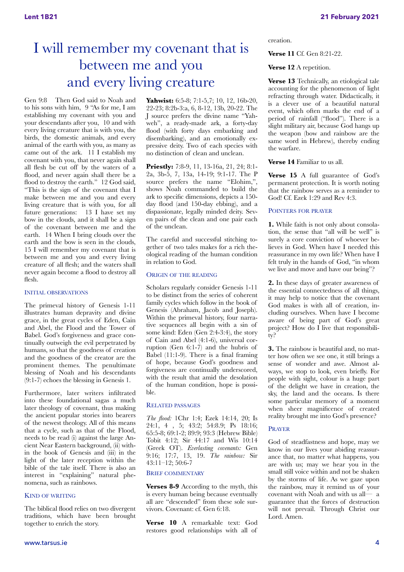# I will remember my covenant that is between me and you and every living creature

Gen 9:8 Then God said to Noah and to his sons with him, 9 "As for me, I am establishing my covenant with you and your descendants after you, 10 and with every living creature that is with you, the birds, the domestic animals, and every animal of the earth with you, as many as came out of the ark. 11 I establish my covenant with you, that never again shall all flesh be cut off by the waters of a flood, and never again shall there be a flood to destroy the earth." 12 God said, "This is the sign of the covenant that I make between me and you and every living creature that is with you, for all future generations: 13 I have set my bow in the clouds, and it shall be a sign of the covenant between me and the earth. 14 When I bring clouds over the earth and the bow is seen in the clouds, 15 I will remember my covenant that is between me and you and every living creature of all flesh; and the waters shall never again become a flood to destroy all flesh.

#### INITIAL OBSERVATIONS

The primeval history of Genesis 1-11 illustrates human depravity and divine grace, in the great cycles of Eden, Cain and Abel, the Flood and the Tower of Babel. God's forgiveness and grace continually outweigh the evil perpetrated by humans, so that the goodness of creation and the goodness of the creator are the prominent themes. The penultimate blessing of Noah and his descendants (9:1-7) echoes the blessing in Genesis 1.

Furthermore, later writers infiltrated into these foundational sagas a much later theology of covenant, thus making the ancient popular stories into bearers of the newest theology. All of this means that a cycle, such as that of the Flood, needs to be read (i) against the large Ancient Near Eastern background, (ii) within the book of Genesis and (iii) in the light of the later reception within the bible of the tale itself. There is also an interest in "explaining" natural phenomena, such as rainbows.

#### KIND OF WRITING

The biblical flood relies on two divergent traditions, which have been brought together to enrich the story.

**Yahwist:** 6:5-8; 7:1-5,7; 10, 12, 16b-20, 22-23; 8:2b-3:a, 6, 8-12, 13b, 20-22. The J source prefers the divine name "Yahweh", a ready-made ark, a forty-day flood (with forty days embarking and disembarking), and an emotionally expressive deity. Two of each species with no distinction of clean and unclean.

**Priestly:** 7:8-9, 11, 13-16a, 21, 24; 8:1- 2a, 3b-5, 7, 13a, 14-19; 9:1-17. The P source prefers the name "Elohim,", shows Noah commanded to build the ark to specific dimensions, depicts a 150 day flood (and 150-day ebbing), and a dispassionate, legally minded deity. Seven pairs of the clean and one pair each of the unclean.

The careful and successful stitching together of two tales makes for a rich theological reading of the human condition in relation to God.

#### ORIGIN OF THE READING

Scholars regularly consider Genesis 1-11 to be distinct from the series of coherent family cycles which follow in the book of Genesis (Abraham, Jacob and Joseph). Within the primeval history, four narrative sequences all begin with a sin of some kind: Eden (Gen 2:4-3:4), the story of Cain and Abel (4:1-6), universal corruption (Gen 6:1-7) and the hubris of Babel (11:1-9). There is a final framing of hope, because God's goodness and forgiveness are continually underscored, with the result that amid the desolation of the human condition, hope is possible.

#### RELATED PASSAGES

*The flood:* 1Chr 1:4; Ezek 14:14, 20; Is 24:1, 4 , 5; 43:2; 54:8.9; Ps 18:16; 65:5-8; 69:1-2; 89:9; 93:3 (Hebrew Bible) Tobit 4:12; Sir 44:17 and Wis 10:14 (Greek OT). *Everlasting covenants:* Gen 9:16; 17:7, 13, 19. *The rainbow:* Sir 43:11–12; 50:6-7

#### BRIEF COMMENTARY

**Verses 8-9** According to the myth, this is every human being because eventually all are "descended" from these sole survivors. Covenant: cf. Gen 6:18.

**Verse 10** A remarkable text: God restores good relationships with all of

## creation. **Verse 11** Cf. Gen 8:21-22.

#### Verse 12 A repetition.

**Verse 13** Technically, an etiological tale accounting for the phenomenon of light refracting through water. Didactically, it is a clever use of a beautiful natural event, which often marks the end of a period of rainfall ("flood"). There is a slight military air, because God hangs up the weapon (bow and rainbow are the same word in Hebrew), thereby ending the warfare.

#### **Verse 14** Familiar to us all.

**Verse 15** A full guarantee of God's permanent protection. It is worth noting that the rainbow serves as a reminder to God! Cf. Ezek 1:29 and Rev 4:3.

#### POINTERS FOR PRAYER

**1.** While faith is not only about consolation, the sense that "all will be well" is surely a core conviction of whoever believes in God. When have I needed this reassurance in my own life? When have I felt truly in the hands of God, "in whom we live and move and have our being"?

**2.** In these days of greater awareness of the essential connectedness of all things, it may help to notice that the covenant God makes is with all of creation, including ourselves. When have I become aware of being part of God's great project? How do I live that responsibility?

**3.** The rainbow is beautiful and, no matter how often we see one, it still brings a sense of wonder and awe. Almost always, we stop to look, even briefly. For people with sight, colour is a huge part of the delight we have in creation, the sky, the land and the oceans. Is there some particular memory of a moment when sheer magnificence of created reality brought me into God's presence?

#### PRAYER

God of steadfastness and hope, may we know in our lives your abiding reassurance that, no matter what happens, you are with us; may we hear you in the small still voice within and not be shaken by the storms of life. As we gaze upon the rainbow, may it remind us of your covenant with Noah and with us all— a guarantee that the forces of destruction will not prevail. Through Christ our Lord. Amen.